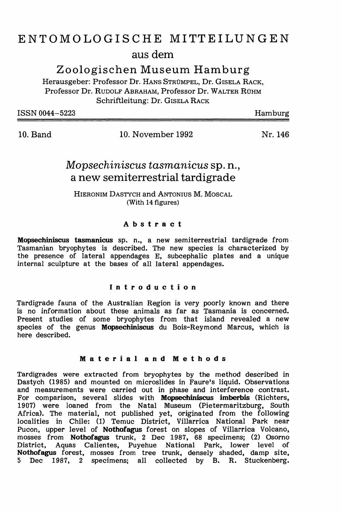# ENTOMOLOGISCHE MITTEILUNGEN aus dem

Zoologischen Museum Hamburg

Herausgeber: Professor Dr. HANS STRUMPEL, Dr. GISELA RACK, Professor Dr. RUDOLF ABRAHAM, Professor Dr. WALTER RÜHM Schriftleitung: Dr. GISELA RACK

ISSN 0044-5223

Hamburg

10. Band 10. November 1992

Nr.146

## *Mopsechiniscus tasmanicus* Sp. n., a new semiterrestrial tardigrade

HIERONIM DASTYCH and ANTONIUS M. MoscAL (With 14 figures)

## Abstract

Mopsechiniscus tasmanicus sp. n., a new semiterrestrial tardigrade from· Tasmanian bryophytes is described. The new species is characterized by the presence of lateral appendages E, subcephalic plates and a unique internal sculpture at the bases of all lateral appendages.

## Introduction

Tardigrade fauna of the Australian Region is very poorly known and there is no information about these animals as far as Tasmania is concerned. Present studies of some bryophytes from that island revealed a new species of the genus Mopsechiniscus du Bois-Reymond Marcus, which is here described.

## Material and Methods

Tardigrades were extracted from bryophytes by the method described in Dastych (1985) and mounted on microslides in Faure's liquid. Observations and measurements were carried out in phase and interference contrast. For comparison, several slides with Mopsechiniscus imberbis (Richters, 1907) were loaned from the Natal Museum (Pietermaritzburg, South Africa). The material, not published yet, originated from the following localities in Chile: (1) Temuc District, Villarrica National Park near Pucon, upper level of Nothofagus forest on slopes of Villarrica Volcano, mosses from Nothofagus trunk, 2 Dec 1987, 68 specimens; (2) Osorno District, Aquas Calientes, Puyehue National Park, lower level of Nothofagus forest, mosses from tree trunk, densely shaded, damp site, 5 Dec 1987, 2 specimens; all collected by B. R. Stuckenberg.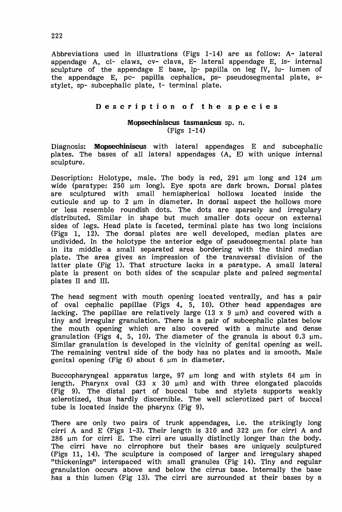Abbreviations used in illustrations (Figs 1-14) are as follow: A-lateral appendage A, cl- claws, cv- clava, E- lateral appendage E, is- internal sculpture of the appendage E base, lp- papilla on leg IV, lu- lumen of the appendage E, pc- papilla cephalica, ps- pseudosegmental plate, sstylet, sp- subcephalic plate, t- terminal plate.

### Description of the species

#### Mopsechiniscus tasmanicus sp. n. (Figs 1-14)

Diagnosis: Mopsechiniscus with lateral appendages E and subcephalic plates. The bases of all lateral appendages (A, E) with unique internal sculpture.

Description: Holotype, male. The body is red, 291 um long and 124 um wide (paratype: 250 µm long). Eye spots are dark brown. Dorsal plates are sculptured with small hemispherical hollows located inside the cuticule and up to 2 um in diameter. In dorsal aspect the hollows more or less resemble roundish dots. The dots are sparsely and irregulary distributed. Similar in shape but much smaller dots occur on external sides of legs. Head plate is faceted, terminal plate has two long incisions (Figs 1, 12). The dorsal plates are well developed, median plates are undivided. In the holotype the anterior edge of pseudosegmental plate has in its middle a small separated area bordering with the third median plate. The area gives an impression of the transversal division of the latter plate (Fig 1). That structure lacks in a paratype. A small lateral plate is present on both sides of the scapular plate and paired segmental pIates II and Ill.

The head segment with mouth opening located ventrally, and has a pair of oval cephalic papillae (Figs 4, 5, 10). Other head appendages are lacking. The papillae are relatively large  $(13 \times 9 \mu m)$  and covered with a tiny and irregular granulation. There is a pair of subcephalic plates below the mouth opening which are also covered with a minute and dense granulation (Figs  $4$ , 5, 10). The diameter of the granula is about 0.3  $\mu$ m. Similar granulation is developed in the vicinity of genital opening as well. The remaining ventral side of the body has no plates and is smooth. Male genital opening (Fig  $6$ ) about  $6 \mu m$  in diameter.

Buccopharyngeal apparatus large, 97 um long and with stylets 64 um in length. Pharynx oval  $(33 \times 30 \mu m)$  and with three elongated placoids (Fig 9). The distal part of buccal tube and stylets supports weakly sclerotized, thus hardly discernible. The well sclerotized part of buccal tube is located inside the pharynx (Fig 9).

There are only two pairs of trunk appendages, i.e. the strikingly long cirri A and E (Figs 1-3). Their length is  $310$  and  $322$  µm for cirri A and  $286$  µm for cirri E. The cirri are usually distinctly longer than the body. The cirri have no cirrophore but their bases are uniquely sculptured (Figs 11, 14). The sculpture is composed of larger and irregulary shaped "thickenings" interspaced with small granules (Fig 14). Tiny and regular granulation occurs above and below the cirrus base. Internally the base has a thin lumen (Fig 13). The cirri are surrounded at their bases by a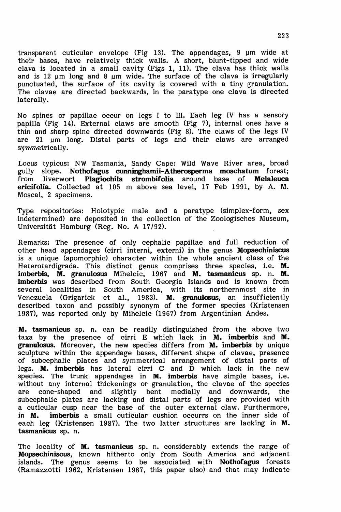transparent cuticular envelope (Fig 13). The appendages,  $9 \mu m$  wide at their bases, have relatively thick walls. A short, blunt-tipped and wide clava is located in a small cavity (Figs 1, 11). The clava has thick walls and is 12  $\mu$ m long and 8  $\mu$ m wide. The surface of the clava is irregularly punctuated, the surface of its cavity is covered with a tiny granulation. The clavae are directed backwards, in the paratype one clava is directed laterally.

No spines or papillae occur on legs I to Ill. Each leg IV has a sensory papilla (Fig 14). External claws are smooth (Fig 7), internal ones have a thin and sharp spine directed downwards (Fig 8). The claws of the legs IV are 21 um long. Distal parts of legs and their claws are arranged symmetrically.

Locus typicus: NW Tasmania, Sandy Cape: Wild Wave River area, broad gully slope. Nothofagus cunninghamii-Atherosperma moschatum forest;<br>from liverwort Plagiochila strombifolia around base of Melaleuca Plagiochila strombifolia around base of Melaleuca ericifolia. Collected at 105 m above sea level, 17 Feb 1991, by A. M. Moscal, 2 specimens.

Type repositories: Holotypic male and a paratype (simplex-form, sex indetermined) are deposited in the collection of the Zoologisches Museum, Universitat Hamburg (Reg. No. A *17/92).*

Remarks: The presence of only cephalic papillae and full reduction of other head appendages (cirri interni, externi) in the genus Mopsechiniscus is a unique (apomorphic) character within the whole ancient class of the Heterotardigrada. This distinct genus comprises three species, i.e. M. imberbis, M. granulosus Mihelcic, 1967 and M. tasmanicus sp. n. M. imberbis was described from South Georgia Islands and is known from several localities in South America, with its northernmost site in Venezuela (Grigarick et al., 1983). M. granulosus, an insufficiently described taxon and possibly synonym of the former species (Kristensen 1987), was reported only by Mihelcic (1967) from Argentinian Andes.

M. tasmanicus sp. n. can be readily distinguished from the above two taxa by the presence of cirri E which lack in M. imberbis and M. granulosus. Moreover, the new species differs from M. imberbis by unique sculpture within the appendage bases, different shape of clavae, presence of subcephalic plates and symmetrical arrangement of distal parts of legs. **M. imberbis** has lateral cirri C and D which lack in the new species. The trunk appendages in **M. imberbis** have simple bases, i.e. without any internal thickenings or granulation, the clavae of the species are cone-shaped and slightly bent medially and downwards, the subcephalic plates are lacking and distal parts of legs are provided with a cuticular cusp near the base of the outer external claw. Furthermore, in **M.** imberbis a small cuticular cushion occurrs on the inner side of imberbis a small cuticular cushion occurrs on the inner side of each leg (Kristensen 1987). The two latter structures are lacking in M. tasmanicus sp. n.

The locality of **M. tasmanicus** sp. n. considerably extends the range of Mopsechiniscus, known hitherto only from South America and adjacent islands. The genus seems to be associated with **Nothofagus** forests (Ramazzotti 1962, Kristensen 1987, this paper also) and that may indicate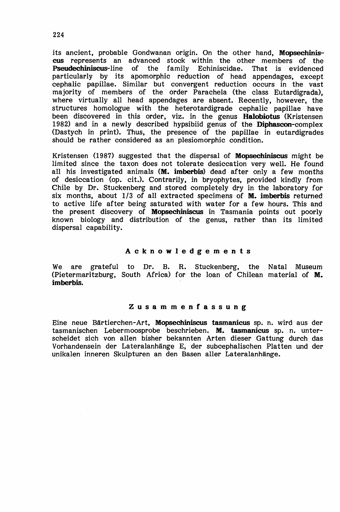its ancient, probable Gondwanan origin. On the other hand, Mopsechiniscus represents an advanced stock within the other members of the Pseudechiniscus-line of the family Echiniscidae. That is evidenced riscus stock within the off the family Echiniscidae. particularly by its apomorphic reduction of head appendages, except cephalic papillae. Similar but convergent reduction occurs in the vast majority of members of the order Parachela (the class Eutardigrada), where virtually all head appendages are absent. Recently, however, the structures homologue with the heterotardigrade cephalic papillae have been discovered in this order, viz. in the genus **Halobiotus** (Kristensen 1982) and in a newly described hypsibiid genus of the Diphascon-complex (Dastych in print). Thus, the presence of the papillae in eutardigrades should be rather considered as an plesiomorphic condition.

Kristensen (1987) suggested that the dispersal of Mopsechiniscus might be limited since the taxon does not tolerate desiccation very well. He found all his investigated animals  $(M.$  imberbis) dead after only a few months of desiccation (op. cit.). Contrarily, in bryophytes, provided kindly from Chile by Dr. Stuckenberg and stored completely dry in the laboratory for six months, about 1/3 of all extracted specimens of **M. imberbis** returned to active life after being saturated with water for a few hours. This and the present discovery of Mopsechiniscus in Tasmania points out poorly known biology and distribution of the genus, rather than its limited dispersal capability.

#### Acknowledgements

We are grateful to Dr. B. R. Stuckenberg, the Natal Museum (Pietermaritzburg, South Africa) for the loan of Chilean material of M. imberbis.

#### Zusammenfassung

Eine neue Bartierchen-Art, Mopsechiniscus tasmanicus sp. n. wird aus der tasmanischen Lebermoosprobe beschrieben. M. tasmanicus sp. n. unterscheidet sich von alIen bisher bekannten Arten dieser Gattung durch das Vorhandensein der Lateralanhange E, der subcephalischen Platten und der unikalen inneren Skulpturen an den Basen aller Lateralanhänge.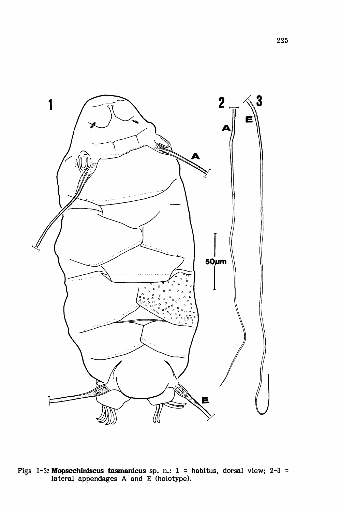

Figs 1-3: **Mopsechiniscus tasmanicus** sp. n.: 1 = habitus, dorsal view; 2-3 lateral appendages A and E (holotype).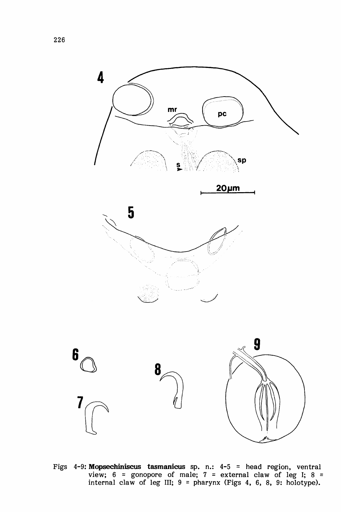

Figs 4-9: **Mopsechiniscus tasmanicus** sp. n.: 4-5 = head region, ventral view;  $6 =$  gonopore of male;  $7 =$  external claw of leg I;  $8 =$ internal claw of leg III;  $9 =$  pharynx (Figs 4, 6, 8, 9: holotype).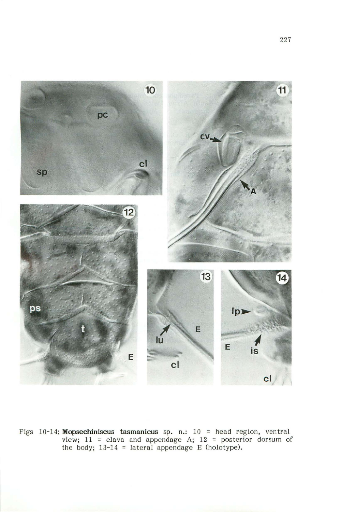

Figs 10-14: **Mopsechiniscus tasmanicus** sp. n.: 10 = head region, ventral view; 11 = clava and appendage A; 12 = posterior dorsum of the body; 13-14 = lateral appendage E (holotype).